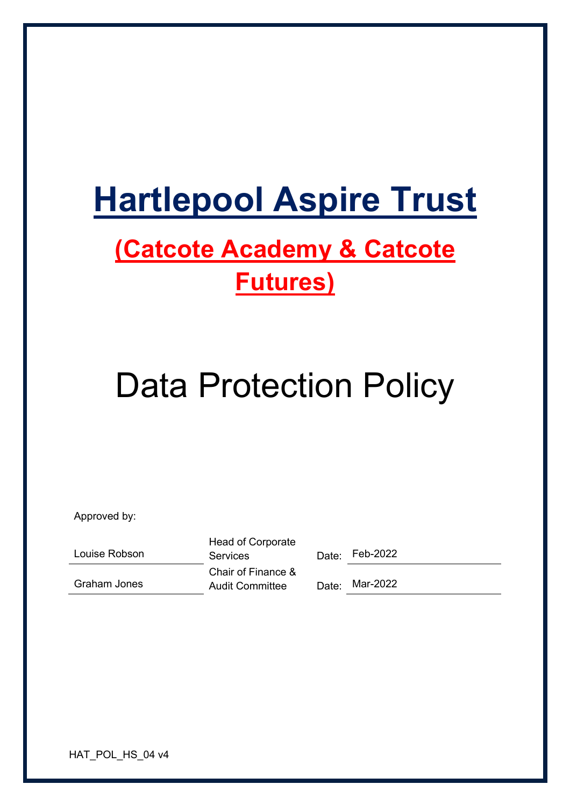# **Hartlepool Aspire Trust**

# **(Catcote Academy & Catcote Futures)**

# Data Protection Policy

Approved by:

Louise Robson

Graham Jones

Head of Corporate Services Date: Feb-2022 Chair of Finance & Audit Committee Date: Mar-2022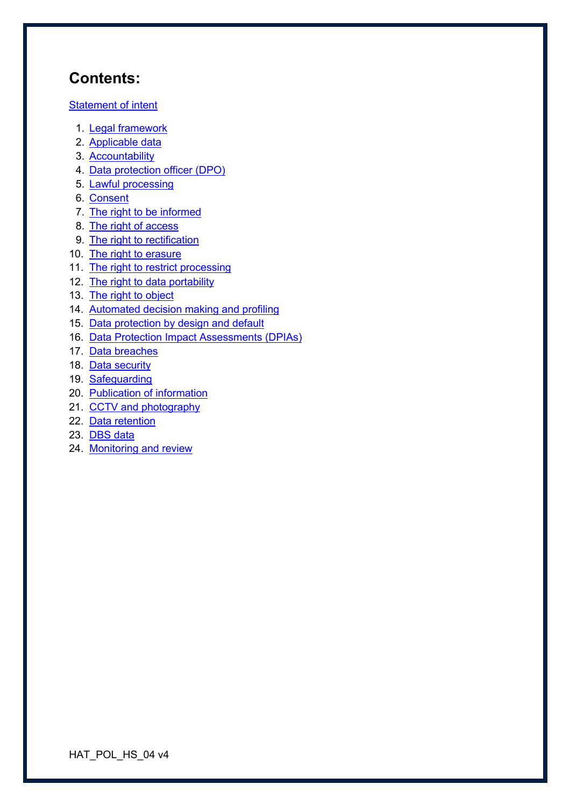# **Contents:**

Statement of intent

- 1. Legal framework
- 2. Applicable data
- 3. Accountability
- 4. Data protection officer (DPO)
- 5. Lawful processing
- 6. Consent
- 7. The right to be informed
- 8. The right of access
- 9. The right to rectification
- 10. The right to erasure
- 11. The right to restrict processing
- 12. The right to data portability
- 13. The right to object
- 14. Automated decision making and profiling
- 15. Data protection by design and default
- 16. Data Protection Impact Assessments (DPIAs)
- 17. Data breaches
- 18. Data security
- 19. Safeguarding
- 20. Publication of information
- 21. CCTV and photography
- 22. Data retention
- 23. DBS data
- 24. Monitoring and review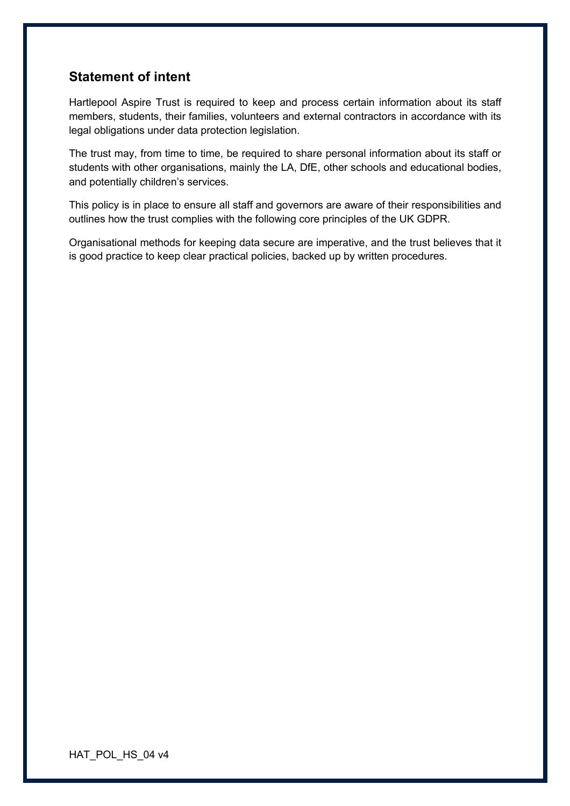#### **Statement of intent**

Hartlepool Aspire Trust is required to keep and process certain information about its staff members, students, their families, volunteers and external contractors in accordance with its legal obligations under data protection legislation.

The trust may, from time to time, be required to share personal information about its staff or students with other organisations, mainly the LA, DfE, other schools and educational bodies, and potentially children's services.

This policy is in place to ensure all staff and governors are aware of their responsibilities and outlines how the trust complies with the following core principles of the UK GDPR.

Organisational methods for keeping data secure are imperative, and the trust believes that it is good practice to keep clear practical policies, backed up by written procedures.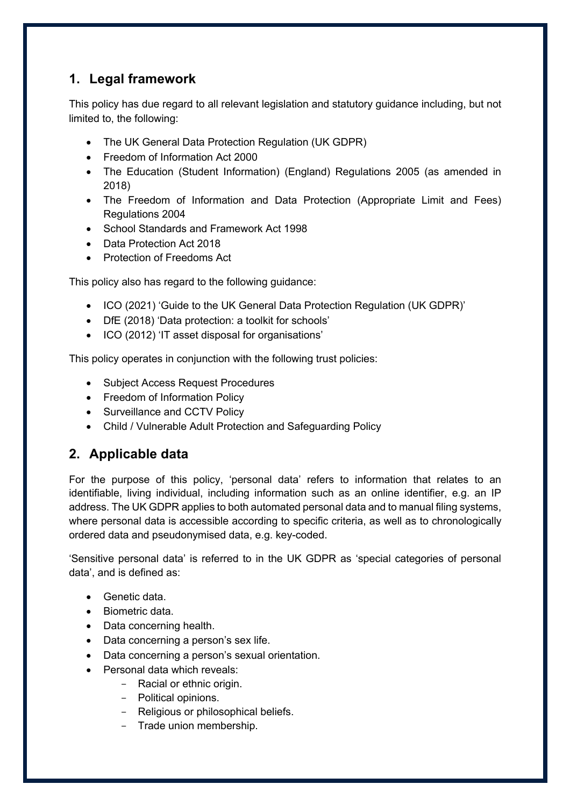#### **1. Legal framework**

This policy has due regard to all relevant legislation and statutory guidance including, but not limited to, the following:

- The UK General Data Protection Regulation (UK GDPR)
- Freedom of Information Act 2000
- The Education (Student Information) (England) Regulations 2005 (as amended in 2018)
- The Freedom of Information and Data Protection (Appropriate Limit and Fees) Regulations 2004
- School Standards and Framework Act 1998
- Data Protection Act 2018
- Protection of Freedoms Act

This policy also has regard to the following guidance:

- ICO (2021) 'Guide to the UK General Data Protection Regulation (UK GDPR)'
- DfE (2018) 'Data protection: a toolkit for schools'
- ICO (2012) 'IT asset disposal for organisations'

This policy operates in conjunction with the following trust policies:

- Subject Access Request Procedures
- Freedom of Information Policy
- Surveillance and CCTV Policy
- Child / Vulnerable Adult Protection and Safeguarding Policy

#### **2. Applicable data**

For the purpose of this policy, 'personal data' refers to information that relates to an identifiable, living individual, including information such as an online identifier, e.g. an IP address. The UK GDPR applies to both automated personal data and to manual filing systems, where personal data is accessible according to specific criteria, as well as to chronologically ordered data and pseudonymised data, e.g. key-coded.

'Sensitive personal data' is referred to in the UK GDPR as 'special categories of personal data', and is defined as:

- Genetic data.
- Biometric data.
- Data concerning health.
- Data concerning a person's sex life.
- Data concerning a person's sexual orientation.
- Personal data which reveals:
	- Racial or ethnic origin.
		- Political opinions.
		- Religious or philosophical beliefs.
		- Trade union membership.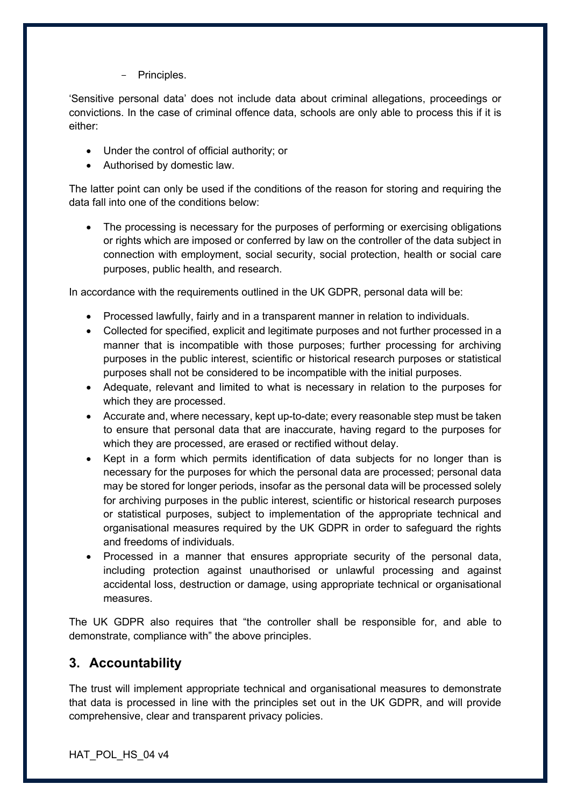- Principles.

'Sensitive personal data' does not include data about criminal allegations, proceedings or convictions. In the case of criminal offence data, schools are only able to process this if it is either:

- Under the control of official authority; or
- Authorised by domestic law.

The latter point can only be used if the conditions of the reason for storing and requiring the data fall into one of the conditions below:

• The processing is necessary for the purposes of performing or exercising obligations or rights which are imposed or conferred by law on the controller of the data subject in connection with employment, social security, social protection, health or social care purposes, public health, and research.

In accordance with the requirements outlined in the UK GDPR, personal data will be:

- Processed lawfully, fairly and in a transparent manner in relation to individuals.
- Collected for specified, explicit and legitimate purposes and not further processed in a manner that is incompatible with those purposes; further processing for archiving purposes in the public interest, scientific or historical research purposes or statistical purposes shall not be considered to be incompatible with the initial purposes.
- Adequate, relevant and limited to what is necessary in relation to the purposes for which they are processed.
- Accurate and, where necessary, kept up-to-date; every reasonable step must be taken to ensure that personal data that are inaccurate, having regard to the purposes for which they are processed, are erased or rectified without delay.
- Kept in a form which permits identification of data subjects for no longer than is necessary for the purposes for which the personal data are processed; personal data may be stored for longer periods, insofar as the personal data will be processed solely for archiving purposes in the public interest, scientific or historical research purposes or statistical purposes, subject to implementation of the appropriate technical and organisational measures required by the UK GDPR in order to safeguard the rights and freedoms of individuals.
- Processed in a manner that ensures appropriate security of the personal data, including protection against unauthorised or unlawful processing and against accidental loss, destruction or damage, using appropriate technical or organisational measures.

The UK GDPR also requires that "the controller shall be responsible for, and able to demonstrate, compliance with" the above principles.

# **3. Accountability**

The trust will implement appropriate technical and organisational measures to demonstrate that data is processed in line with the principles set out in the UK GDPR, and will provide comprehensive, clear and transparent privacy policies.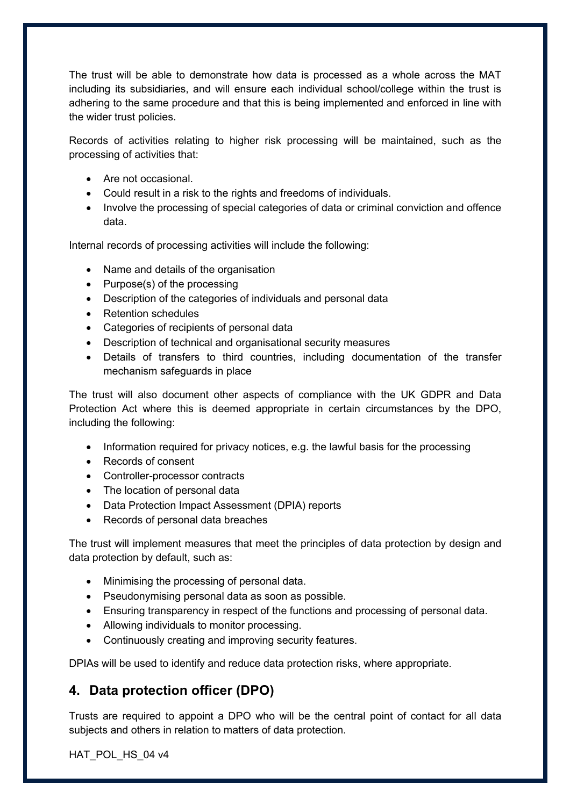The trust will be able to demonstrate how data is processed as a whole across the MAT including its subsidiaries, and will ensure each individual school/college within the trust is adhering to the same procedure and that this is being implemented and enforced in line with the wider trust policies.

Records of activities relating to higher risk processing will be maintained, such as the processing of activities that:

- Are not occasional.
- Could result in a risk to the rights and freedoms of individuals.
- Involve the processing of special categories of data or criminal conviction and offence data.

Internal records of processing activities will include the following:

- Name and details of the organisation
- Purpose(s) of the processing
- Description of the categories of individuals and personal data
- Retention schedules
- Categories of recipients of personal data
- Description of technical and organisational security measures
- Details of transfers to third countries, including documentation of the transfer mechanism safeguards in place

The trust will also document other aspects of compliance with the UK GDPR and Data Protection Act where this is deemed appropriate in certain circumstances by the DPO, including the following:

- Information required for privacy notices, e.g. the lawful basis for the processing
- Records of consent
- Controller-processor contracts
- The location of personal data
- Data Protection Impact Assessment (DPIA) reports
- Records of personal data breaches

The trust will implement measures that meet the principles of data protection by design and data protection by default, such as:

- Minimising the processing of personal data.
- Pseudonymising personal data as soon as possible.
- Ensuring transparency in respect of the functions and processing of personal data.
- Allowing individuals to monitor processing.
- Continuously creating and improving security features.

DPIAs will be used to identify and reduce data protection risks, where appropriate.

#### **4. Data protection officer (DPO)**

Trusts are required to appoint a DPO who will be the central point of contact for all data subjects and others in relation to matters of data protection.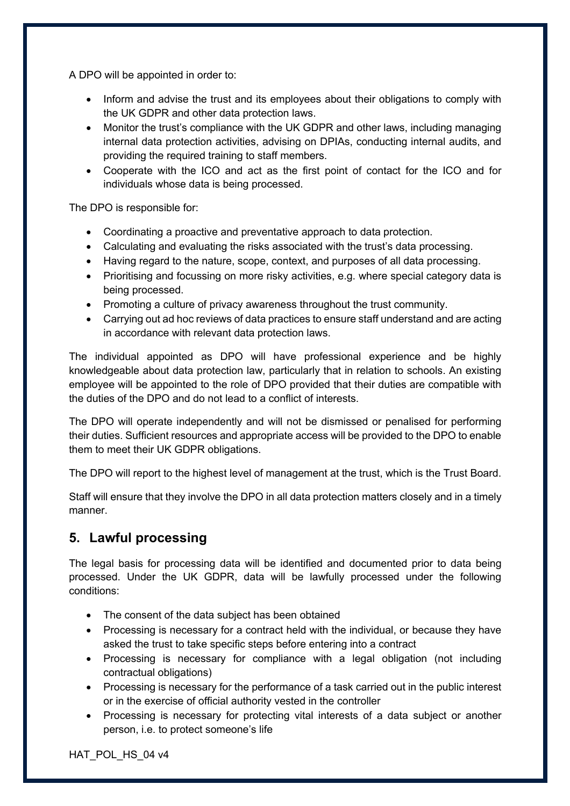A DPO will be appointed in order to:

- Inform and advise the trust and its employees about their obligations to comply with the UK GDPR and other data protection laws.
- Monitor the trust's compliance with the UK GDPR and other laws, including managing internal data protection activities, advising on DPIAs, conducting internal audits, and providing the required training to staff members.
- Cooperate with the ICO and act as the first point of contact for the ICO and for individuals whose data is being processed.

The DPO is responsible for:

- Coordinating a proactive and preventative approach to data protection.
- Calculating and evaluating the risks associated with the trust's data processing.
- Having regard to the nature, scope, context, and purposes of all data processing.
- Prioritising and focussing on more risky activities, e.g. where special category data is being processed.
- Promoting a culture of privacy awareness throughout the trust community.
- Carrying out ad hoc reviews of data practices to ensure staff understand and are acting in accordance with relevant data protection laws.

The individual appointed as DPO will have professional experience and be highly knowledgeable about data protection law, particularly that in relation to schools. An existing employee will be appointed to the role of DPO provided that their duties are compatible with the duties of the DPO and do not lead to a conflict of interests.

The DPO will operate independently and will not be dismissed or penalised for performing their duties. Sufficient resources and appropriate access will be provided to the DPO to enable them to meet their UK GDPR obligations.

The DPO will report to the highest level of management at the trust, which is the Trust Board.

Staff will ensure that they involve the DPO in all data protection matters closely and in a timely manner.

# **5. Lawful processing**

The legal basis for processing data will be identified and documented prior to data being processed. Under the UK GDPR, data will be lawfully processed under the following conditions:

- The consent of the data subject has been obtained
- Processing is necessary for a contract held with the individual, or because they have asked the trust to take specific steps before entering into a contract
- Processing is necessary for compliance with a legal obligation (not including contractual obligations)
- Processing is necessary for the performance of a task carried out in the public interest or in the exercise of official authority vested in the controller
- Processing is necessary for protecting vital interests of a data subject or another person, i.e. to protect someone's life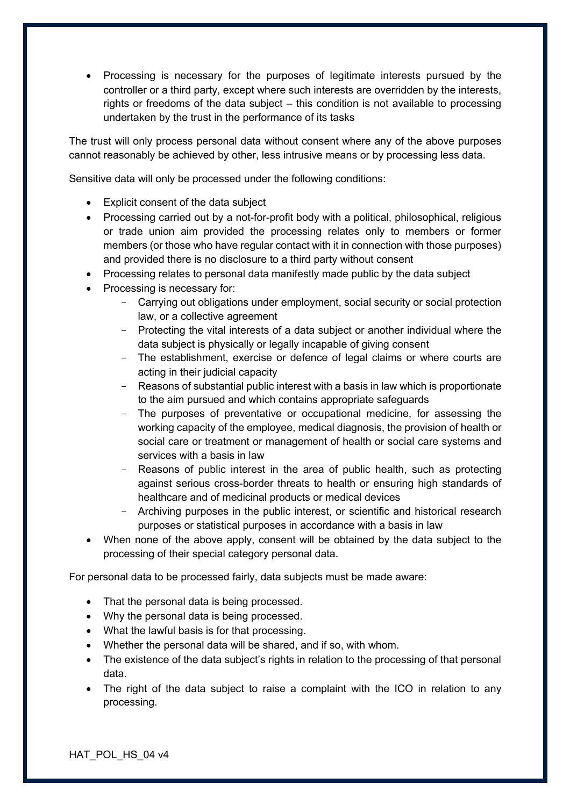• Processing is necessary for the purposes of legitimate interests pursued by the controller or a third party, except where such interests are overridden by the interests, rights or freedoms of the data subject – this condition is not available to processing undertaken by the trust in the performance of its tasks

The trust will only process personal data without consent where any of the above purposes cannot reasonably be achieved by other, less intrusive means or by processing less data.

Sensitive data will only be processed under the following conditions:

- Explicit consent of the data subject
- Processing carried out by a not-for-profit body with a political, philosophical, religious or trade union aim provided the processing relates only to members or former members (or those who have regular contact with it in connection with those purposes) and provided there is no disclosure to a third party without consent
- Processing relates to personal data manifestly made public by the data subject
- Processing is necessary for:
	- Carrying out obligations under employment, social security or social protection law, or a collective agreement
	- Protecting the vital interests of a data subject or another individual where the data subject is physically or legally incapable of giving consent
	- The establishment, exercise or defence of legal claims or where courts are acting in their judicial capacity
	- Reasons of substantial public interest with a basis in law which is proportionate to the aim pursued and which contains appropriate safeguards
	- The purposes of preventative or occupational medicine, for assessing the working capacity of the employee, medical diagnosis, the provision of health or social care or treatment or management of health or social care systems and services with a basis in law
	- Reasons of public interest in the area of public health, such as protecting against serious cross-border threats to health or ensuring high standards of healthcare and of medicinal products or medical devices
	- Archiving purposes in the public interest, or scientific and historical research purposes or statistical purposes in accordance with a basis in law
- When none of the above apply, consent will be obtained by the data subject to the processing of their special category personal data.

For personal data to be processed fairly, data subjects must be made aware:

- That the personal data is being processed.
- Why the personal data is being processed.
- What the lawful basis is for that processing.
- Whether the personal data will be shared, and if so, with whom.
- The existence of the data subject's rights in relation to the processing of that personal data.
- The right of the data subject to raise a complaint with the ICO in relation to any processing.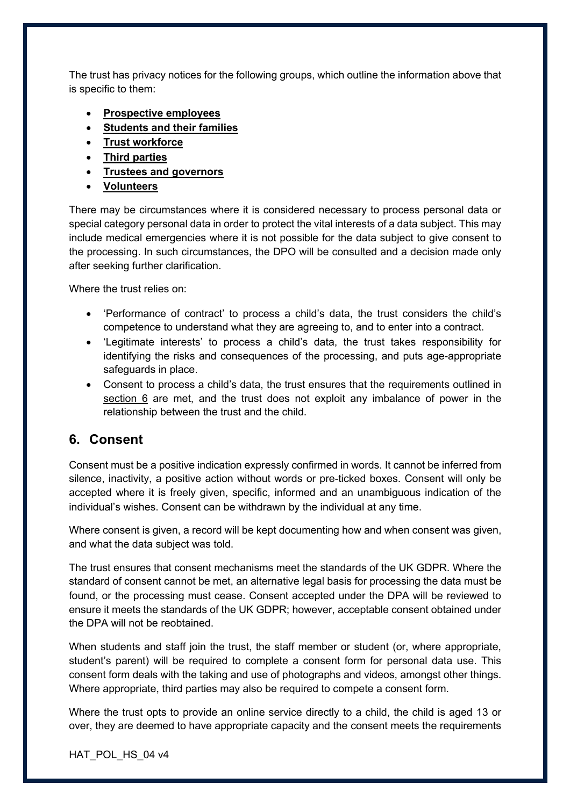The trust has privacy notices for the following groups, which outline the information above that is specific to them:

- **Prospective employees**
- **Students and their families**
- **Trust workforce**
- **Third parties**
- **Trustees and governors**
- **Volunteers**

There may be circumstances where it is considered necessary to process personal data or special category personal data in order to protect the vital interests of a data subject. This may include medical emergencies where it is not possible for the data subject to give consent to the processing. In such circumstances, the DPO will be consulted and a decision made only after seeking further clarification.

Where the trust relies on:

- 'Performance of contract' to process a child's data, the trust considers the child's competence to understand what they are agreeing to, and to enter into a contract.
- 'Legitimate interests' to process a child's data, the trust takes responsibility for identifying the risks and consequences of the processing, and puts age-appropriate safeguards in place.
- Consent to process a child's data, the trust ensures that the requirements outlined in section 6 are met, and the trust does not exploit any imbalance of power in the relationship between the trust and the child.

#### **6. Consent**

Consent must be a positive indication expressly confirmed in words. It cannot be inferred from silence, inactivity, a positive action without words or pre-ticked boxes. Consent will only be accepted where it is freely given, specific, informed and an unambiguous indication of the individual's wishes. Consent can be withdrawn by the individual at any time.

Where consent is given, a record will be kept documenting how and when consent was given, and what the data subject was told.

The trust ensures that consent mechanisms meet the standards of the UK GDPR. Where the standard of consent cannot be met, an alternative legal basis for processing the data must be found, or the processing must cease. Consent accepted under the DPA will be reviewed to ensure it meets the standards of the UK GDPR; however, acceptable consent obtained under the DPA will not be reobtained.

When students and staff join the trust, the staff member or student (or, where appropriate, student's parent) will be required to complete a consent form for personal data use. This consent form deals with the taking and use of photographs and videos, amongst other things. Where appropriate, third parties may also be required to compete a consent form.

Where the trust opts to provide an online service directly to a child, the child is aged 13 or over, they are deemed to have appropriate capacity and the consent meets the requirements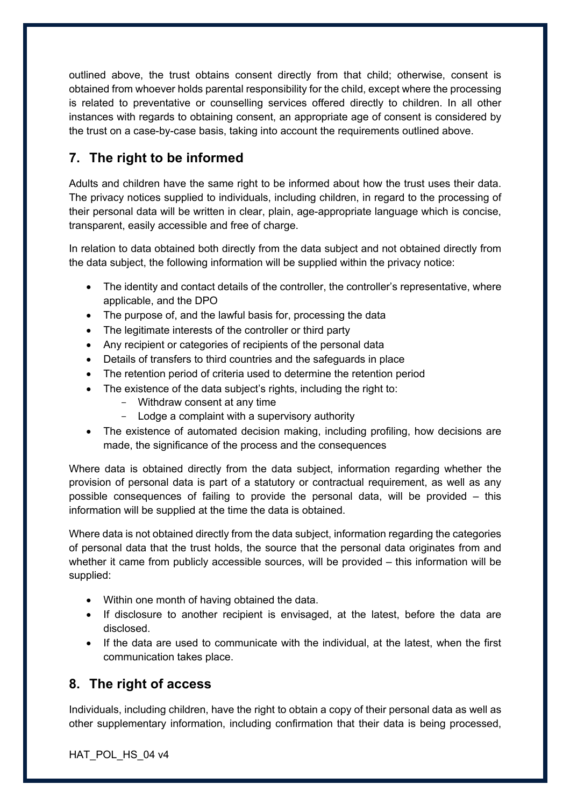outlined above, the trust obtains consent directly from that child; otherwise, consent is obtained from whoever holds parental responsibility for the child, except where the processing is related to preventative or counselling services offered directly to children. In all other instances with regards to obtaining consent, an appropriate age of consent is considered by the trust on a case-by-case basis, taking into account the requirements outlined above.

# **7. The right to be informed**

Adults and children have the same right to be informed about how the trust uses their data. The privacy notices supplied to individuals, including children, in regard to the processing of their personal data will be written in clear, plain, age-appropriate language which is concise, transparent, easily accessible and free of charge.

In relation to data obtained both directly from the data subject and not obtained directly from the data subject, the following information will be supplied within the privacy notice:

- The identity and contact details of the controller, the controller's representative, where applicable, and the DPO
- The purpose of, and the lawful basis for, processing the data
- The legitimate interests of the controller or third party
- Any recipient or categories of recipients of the personal data
- Details of transfers to third countries and the safeguards in place
- The retention period of criteria used to determine the retention period
- The existence of the data subject's rights, including the right to:
	- Withdraw consent at any time
	- Lodge a complaint with a supervisory authority
- The existence of automated decision making, including profiling, how decisions are made, the significance of the process and the consequences

Where data is obtained directly from the data subject, information regarding whether the provision of personal data is part of a statutory or contractual requirement, as well as any possible consequences of failing to provide the personal data, will be provided – this information will be supplied at the time the data is obtained.

Where data is not obtained directly from the data subject, information regarding the categories of personal data that the trust holds, the source that the personal data originates from and whether it came from publicly accessible sources, will be provided – this information will be supplied:

- Within one month of having obtained the data.
- If disclosure to another recipient is envisaged, at the latest, before the data are disclosed.
- If the data are used to communicate with the individual, at the latest, when the first communication takes place.

# **8. The right of access**

Individuals, including children, have the right to obtain a copy of their personal data as well as other supplementary information, including confirmation that their data is being processed,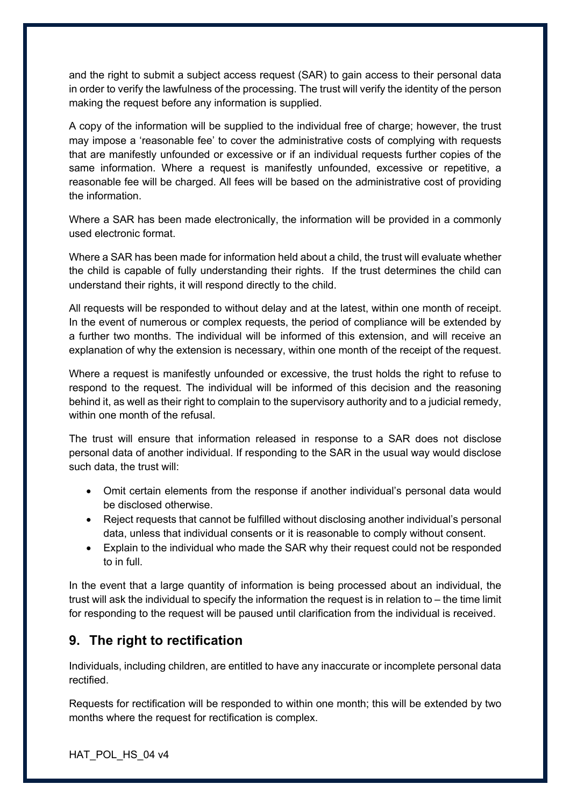and the right to submit a subject access request (SAR) to gain access to their personal data in order to verify the lawfulness of the processing. The trust will verify the identity of the person making the request before any information is supplied.

A copy of the information will be supplied to the individual free of charge; however, the trust may impose a 'reasonable fee' to cover the administrative costs of complying with requests that are manifestly unfounded or excessive or if an individual requests further copies of the same information. Where a request is manifestly unfounded, excessive or repetitive, a reasonable fee will be charged. All fees will be based on the administrative cost of providing the information.

Where a SAR has been made electronically, the information will be provided in a commonly used electronic format.

Where a SAR has been made for information held about a child, the trust will evaluate whether the child is capable of fully understanding their rights. If the trust determines the child can understand their rights, it will respond directly to the child.

All requests will be responded to without delay and at the latest, within one month of receipt. In the event of numerous or complex requests, the period of compliance will be extended by a further two months. The individual will be informed of this extension, and will receive an explanation of why the extension is necessary, within one month of the receipt of the request.

Where a request is manifestly unfounded or excessive, the trust holds the right to refuse to respond to the request. The individual will be informed of this decision and the reasoning behind it, as well as their right to complain to the supervisory authority and to a judicial remedy, within one month of the refusal.

The trust will ensure that information released in response to a SAR does not disclose personal data of another individual. If responding to the SAR in the usual way would disclose such data, the trust will:

- Omit certain elements from the response if another individual's personal data would be disclosed otherwise.
- Reject requests that cannot be fulfilled without disclosing another individual's personal data, unless that individual consents or it is reasonable to comply without consent.
- Explain to the individual who made the SAR why their request could not be responded to in full.

In the event that a large quantity of information is being processed about an individual, the trust will ask the individual to specify the information the request is in relation to – the time limit for responding to the request will be paused until clarification from the individual is received.

# **9. The right to rectification**

Individuals, including children, are entitled to have any inaccurate or incomplete personal data rectified.

Requests for rectification will be responded to within one month; this will be extended by two months where the request for rectification is complex.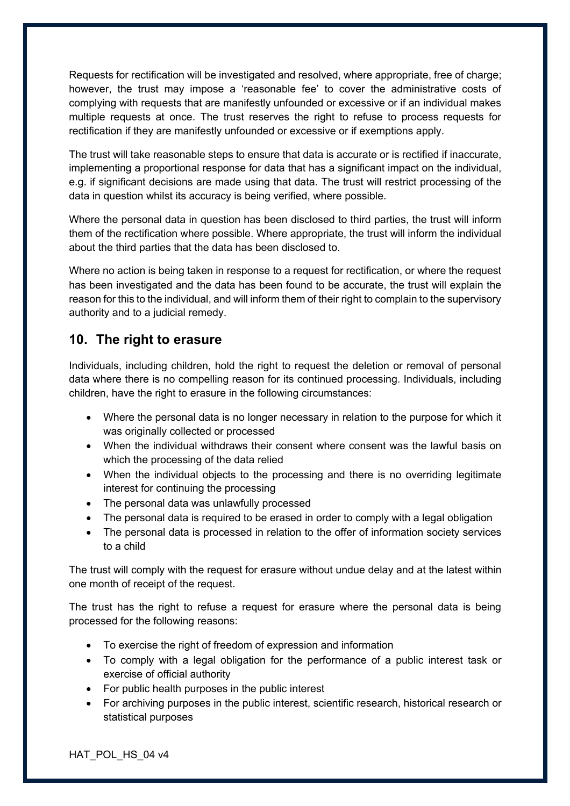Requests for rectification will be investigated and resolved, where appropriate, free of charge; however, the trust may impose a 'reasonable fee' to cover the administrative costs of complying with requests that are manifestly unfounded or excessive or if an individual makes multiple requests at once. The trust reserves the right to refuse to process requests for rectification if they are manifestly unfounded or excessive or if exemptions apply.

The trust will take reasonable steps to ensure that data is accurate or is rectified if inaccurate, implementing a proportional response for data that has a significant impact on the individual, e.g. if significant decisions are made using that data. The trust will restrict processing of the data in question whilst its accuracy is being verified, where possible.

Where the personal data in question has been disclosed to third parties, the trust will inform them of the rectification where possible. Where appropriate, the trust will inform the individual about the third parties that the data has been disclosed to.

Where no action is being taken in response to a request for rectification, or where the request has been investigated and the data has been found to be accurate, the trust will explain the reason for this to the individual, and will inform them of their right to complain to the supervisory authority and to a judicial remedy.

#### **10. The right to erasure**

Individuals, including children, hold the right to request the deletion or removal of personal data where there is no compelling reason for its continued processing. Individuals, including children, have the right to erasure in the following circumstances:

- Where the personal data is no longer necessary in relation to the purpose for which it was originally collected or processed
- When the individual withdraws their consent where consent was the lawful basis on which the processing of the data relied
- When the individual objects to the processing and there is no overriding legitimate interest for continuing the processing
- The personal data was unlawfully processed
- The personal data is required to be erased in order to comply with a legal obligation
- The personal data is processed in relation to the offer of information society services to a child

The trust will comply with the request for erasure without undue delay and at the latest within one month of receipt of the request.

The trust has the right to refuse a request for erasure where the personal data is being processed for the following reasons:

- To exercise the right of freedom of expression and information
- To comply with a legal obligation for the performance of a public interest task or exercise of official authority
- For public health purposes in the public interest
- For archiving purposes in the public interest, scientific research, historical research or statistical purposes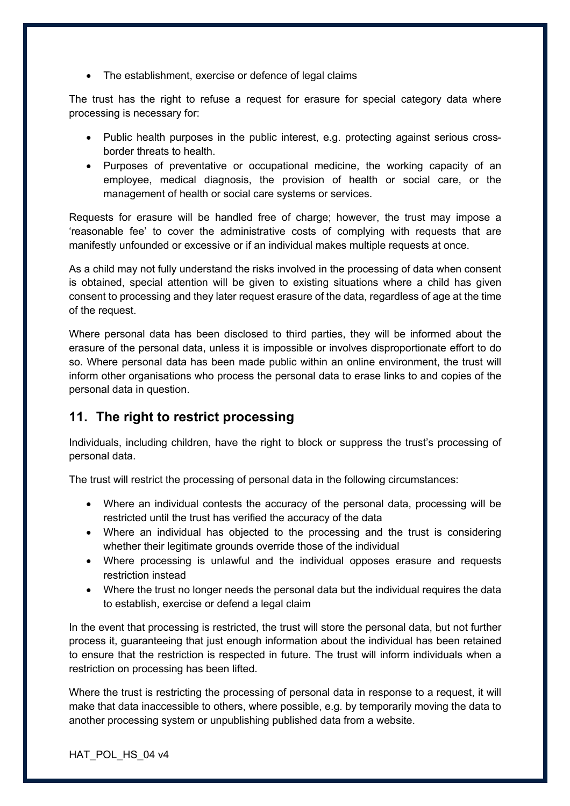• The establishment, exercise or defence of legal claims

The trust has the right to refuse a request for erasure for special category data where processing is necessary for:

- Public health purposes in the public interest, e.g. protecting against serious crossborder threats to health.
- Purposes of preventative or occupational medicine, the working capacity of an employee, medical diagnosis, the provision of health or social care, or the management of health or social care systems or services.

Requests for erasure will be handled free of charge; however, the trust may impose a 'reasonable fee' to cover the administrative costs of complying with requests that are manifestly unfounded or excessive or if an individual makes multiple requests at once.

As a child may not fully understand the risks involved in the processing of data when consent is obtained, special attention will be given to existing situations where a child has given consent to processing and they later request erasure of the data, regardless of age at the time of the request.

Where personal data has been disclosed to third parties, they will be informed about the erasure of the personal data, unless it is impossible or involves disproportionate effort to do so. Where personal data has been made public within an online environment, the trust will inform other organisations who process the personal data to erase links to and copies of the personal data in question.

# **11. The right to restrict processing**

Individuals, including children, have the right to block or suppress the trust's processing of personal data.

The trust will restrict the processing of personal data in the following circumstances:

- Where an individual contests the accuracy of the personal data, processing will be restricted until the trust has verified the accuracy of the data
- Where an individual has objected to the processing and the trust is considering whether their legitimate grounds override those of the individual
- Where processing is unlawful and the individual opposes erasure and requests restriction instead
- Where the trust no longer needs the personal data but the individual requires the data to establish, exercise or defend a legal claim

In the event that processing is restricted, the trust will store the personal data, but not further process it, guaranteeing that just enough information about the individual has been retained to ensure that the restriction is respected in future. The trust will inform individuals when a restriction on processing has been lifted.

Where the trust is restricting the processing of personal data in response to a request, it will make that data inaccessible to others, where possible, e.g. by temporarily moving the data to another processing system or unpublishing published data from a website.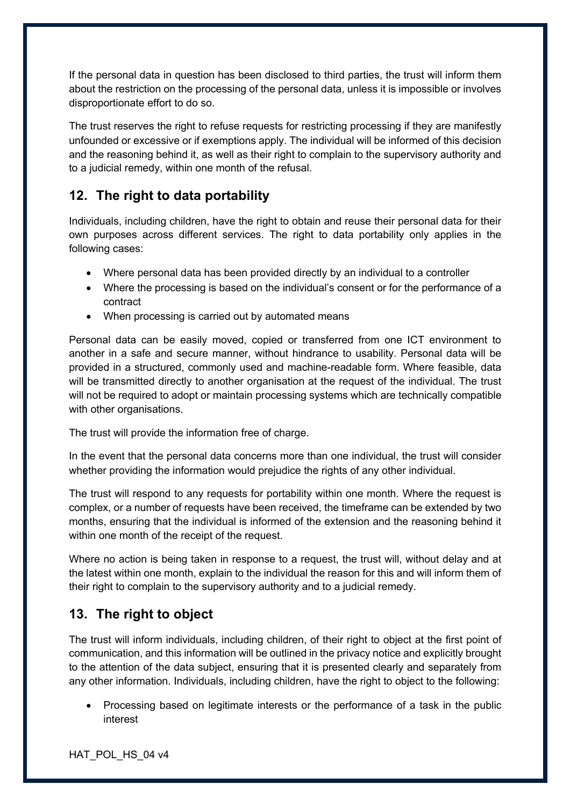If the personal data in question has been disclosed to third parties, the trust will inform them about the restriction on the processing of the personal data, unless it is impossible or involves disproportionate effort to do so.

The trust reserves the right to refuse requests for restricting processing if they are manifestly unfounded or excessive or if exemptions apply. The individual will be informed of this decision and the reasoning behind it, as well as their right to complain to the supervisory authority and to a judicial remedy, within one month of the refusal.

# **12. The right to data portability**

Individuals, including children, have the right to obtain and reuse their personal data for their own purposes across different services. The right to data portability only applies in the following cases:

- Where personal data has been provided directly by an individual to a controller
- Where the processing is based on the individual's consent or for the performance of a contract
- When processing is carried out by automated means

Personal data can be easily moved, copied or transferred from one ICT environment to another in a safe and secure manner, without hindrance to usability. Personal data will be provided in a structured, commonly used and machine-readable form. Where feasible, data will be transmitted directly to another organisation at the request of the individual. The trust will not be required to adopt or maintain processing systems which are technically compatible with other organisations.

The trust will provide the information free of charge.

In the event that the personal data concerns more than one individual, the trust will consider whether providing the information would prejudice the rights of any other individual.

The trust will respond to any requests for portability within one month. Where the request is complex, or a number of requests have been received, the timeframe can be extended by two months, ensuring that the individual is informed of the extension and the reasoning behind it within one month of the receipt of the request.

Where no action is being taken in response to a request, the trust will, without delay and at the latest within one month, explain to the individual the reason for this and will inform them of their right to complain to the supervisory authority and to a judicial remedy.

# **13. The right to object**

The trust will inform individuals, including children, of their right to object at the first point of communication, and this information will be outlined in the privacy notice and explicitly brought to the attention of the data subject, ensuring that it is presented clearly and separately from any other information. Individuals, including children, have the right to object to the following:

• Processing based on legitimate interests or the performance of a task in the public interest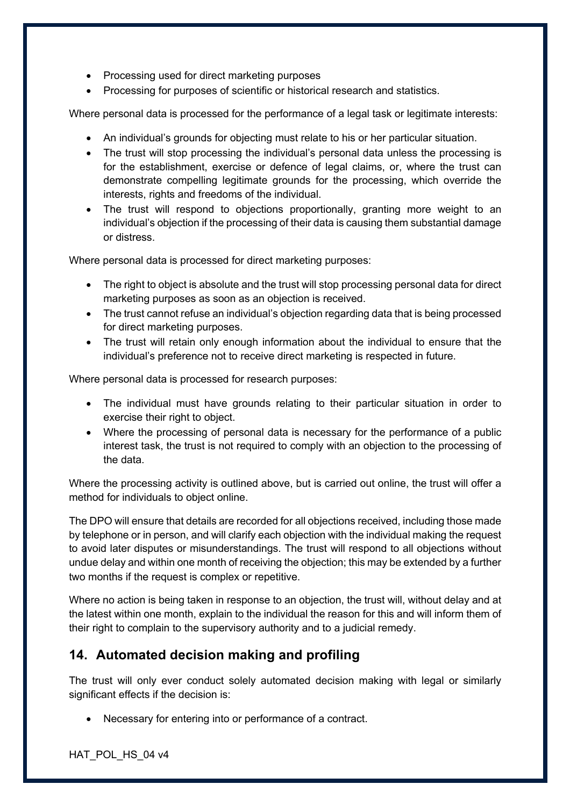- Processing used for direct marketing purposes
- Processing for purposes of scientific or historical research and statistics.

Where personal data is processed for the performance of a legal task or legitimate interests:

- An individual's grounds for objecting must relate to his or her particular situation.
- The trust will stop processing the individual's personal data unless the processing is for the establishment, exercise or defence of legal claims, or, where the trust can demonstrate compelling legitimate grounds for the processing, which override the interests, rights and freedoms of the individual.
- The trust will respond to objections proportionally, granting more weight to an individual's objection if the processing of their data is causing them substantial damage or distress.

Where personal data is processed for direct marketing purposes:

- The right to object is absolute and the trust will stop processing personal data for direct marketing purposes as soon as an objection is received.
- The trust cannot refuse an individual's objection regarding data that is being processed for direct marketing purposes.
- The trust will retain only enough information about the individual to ensure that the individual's preference not to receive direct marketing is respected in future.

Where personal data is processed for research purposes:

- The individual must have grounds relating to their particular situation in order to exercise their right to object.
- Where the processing of personal data is necessary for the performance of a public interest task, the trust is not required to comply with an objection to the processing of the data.

Where the processing activity is outlined above, but is carried out online, the trust will offer a method for individuals to object online.

The DPO will ensure that details are recorded for all objections received, including those made by telephone or in person, and will clarify each objection with the individual making the request to avoid later disputes or misunderstandings. The trust will respond to all objections without undue delay and within one month of receiving the objection; this may be extended by a further two months if the request is complex or repetitive.

Where no action is being taken in response to an objection, the trust will, without delay and at the latest within one month, explain to the individual the reason for this and will inform them of their right to complain to the supervisory authority and to a judicial remedy.

# **14. Automated decision making and profiling**

The trust will only ever conduct solely automated decision making with legal or similarly significant effects if the decision is:

• Necessary for entering into or performance of a contract.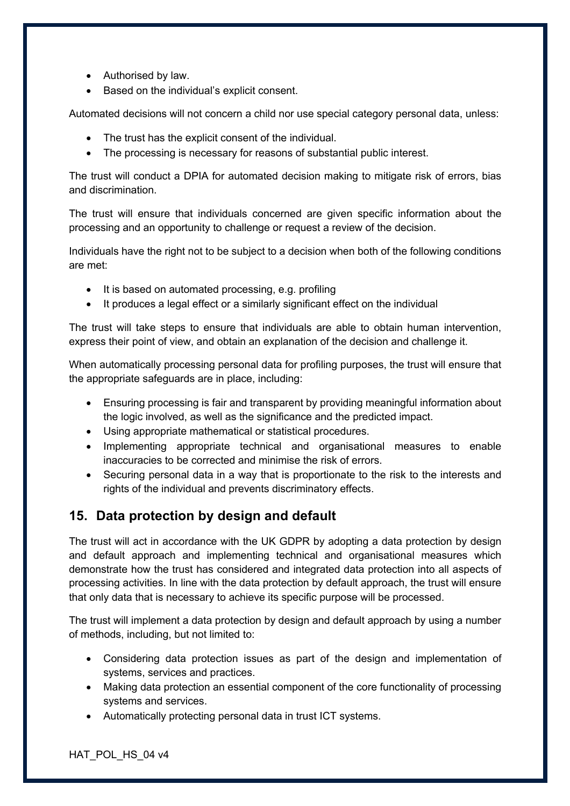- Authorised by law.
- Based on the individual's explicit consent.

Automated decisions will not concern a child nor use special category personal data, unless:

- The trust has the explicit consent of the individual.
- The processing is necessary for reasons of substantial public interest.

The trust will conduct a DPIA for automated decision making to mitigate risk of errors, bias and discrimination.

The trust will ensure that individuals concerned are given specific information about the processing and an opportunity to challenge or request a review of the decision.

Individuals have the right not to be subject to a decision when both of the following conditions are met:

- It is based on automated processing, e.g. profiling
- It produces a legal effect or a similarly significant effect on the individual

The trust will take steps to ensure that individuals are able to obtain human intervention, express their point of view, and obtain an explanation of the decision and challenge it.

When automatically processing personal data for profiling purposes, the trust will ensure that the appropriate safeguards are in place, including:

- Ensuring processing is fair and transparent by providing meaningful information about the logic involved, as well as the significance and the predicted impact.
- Using appropriate mathematical or statistical procedures.
- Implementing appropriate technical and organisational measures to enable inaccuracies to be corrected and minimise the risk of errors.
- Securing personal data in a way that is proportionate to the risk to the interests and rights of the individual and prevents discriminatory effects.

# **15. Data protection by design and default**

The trust will act in accordance with the UK GDPR by adopting a data protection by design and default approach and implementing technical and organisational measures which demonstrate how the trust has considered and integrated data protection into all aspects of processing activities. In line with the data protection by default approach, the trust will ensure that only data that is necessary to achieve its specific purpose will be processed.

The trust will implement a data protection by design and default approach by using a number of methods, including, but not limited to:

- Considering data protection issues as part of the design and implementation of systems, services and practices.
- Making data protection an essential component of the core functionality of processing systems and services.
- Automatically protecting personal data in trust ICT systems.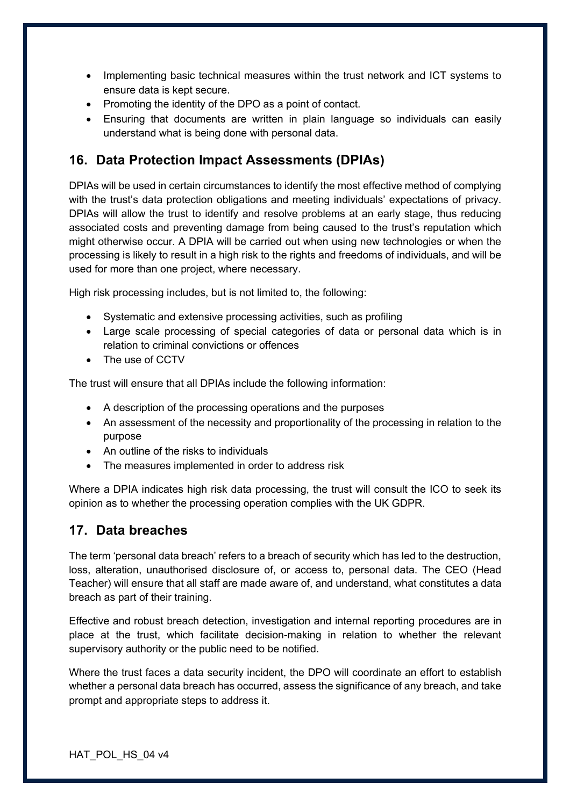- Implementing basic technical measures within the trust network and ICT systems to ensure data is kept secure.
- Promoting the identity of the DPO as a point of contact.
- Ensuring that documents are written in plain language so individuals can easily understand what is being done with personal data.

# **16. Data Protection Impact Assessments (DPIAs)**

DPIAs will be used in certain circumstances to identify the most effective method of complying with the trust's data protection obligations and meeting individuals' expectations of privacy. DPIAs will allow the trust to identify and resolve problems at an early stage, thus reducing associated costs and preventing damage from being caused to the trust's reputation which might otherwise occur. A DPIA will be carried out when using new technologies or when the processing is likely to result in a high risk to the rights and freedoms of individuals, and will be used for more than one project, where necessary.

High risk processing includes, but is not limited to, the following:

- Systematic and extensive processing activities, such as profiling
- Large scale processing of special categories of data or personal data which is in relation to criminal convictions or offences
- The use of CCTV

The trust will ensure that all DPIAs include the following information:

- A description of the processing operations and the purposes
- An assessment of the necessity and proportionality of the processing in relation to the purpose
- An outline of the risks to individuals
- The measures implemented in order to address risk

Where a DPIA indicates high risk data processing, the trust will consult the ICO to seek its opinion as to whether the processing operation complies with the UK GDPR.

#### **17. Data breaches**

The term 'personal data breach' refers to a breach of security which has led to the destruction, loss, alteration, unauthorised disclosure of, or access to, personal data. The CEO (Head Teacher) will ensure that all staff are made aware of, and understand, what constitutes a data breach as part of their training.

Effective and robust breach detection, investigation and internal reporting procedures are in place at the trust, which facilitate decision-making in relation to whether the relevant supervisory authority or the public need to be notified.

Where the trust faces a data security incident, the DPO will coordinate an effort to establish whether a personal data breach has occurred, assess the significance of any breach, and take prompt and appropriate steps to address it.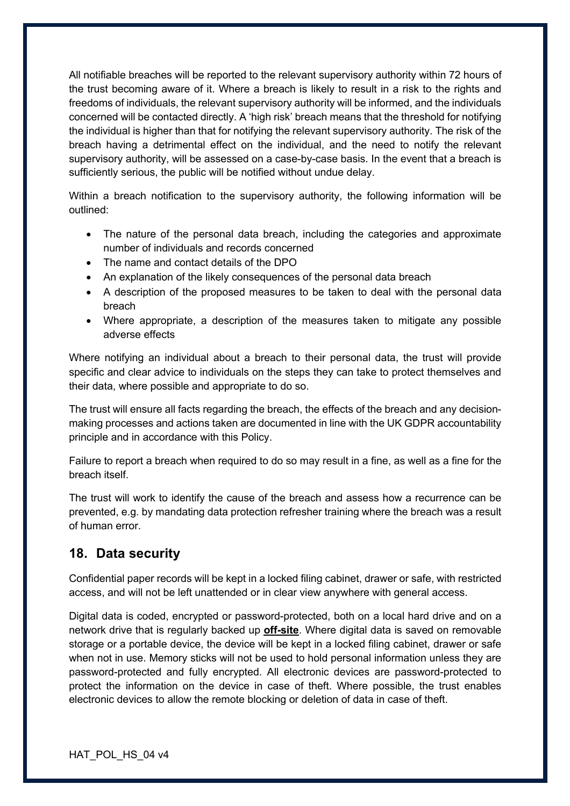All notifiable breaches will be reported to the relevant supervisory authority within 72 hours of the trust becoming aware of it. Where a breach is likely to result in a risk to the rights and freedoms of individuals, the relevant supervisory authority will be informed, and the individuals concerned will be contacted directly. A 'high risk' breach means that the threshold for notifying the individual is higher than that for notifying the relevant supervisory authority. The risk of the breach having a detrimental effect on the individual, and the need to notify the relevant supervisory authority, will be assessed on a case-by-case basis. In the event that a breach is sufficiently serious, the public will be notified without undue delay.

Within a breach notification to the supervisory authority, the following information will be outlined:

- The nature of the personal data breach, including the categories and approximate number of individuals and records concerned
- The name and contact details of the DPO
- An explanation of the likely consequences of the personal data breach
- A description of the proposed measures to be taken to deal with the personal data breach
- Where appropriate, a description of the measures taken to mitigate any possible adverse effects

Where notifying an individual about a breach to their personal data, the trust will provide specific and clear advice to individuals on the steps they can take to protect themselves and their data, where possible and appropriate to do so.

The trust will ensure all facts regarding the breach, the effects of the breach and any decisionmaking processes and actions taken are documented in line with the UK GDPR accountability principle and in accordance with this Policy.

Failure to report a breach when required to do so may result in a fine, as well as a fine for the breach itself.

The trust will work to identify the cause of the breach and assess how a recurrence can be prevented, e.g. by mandating data protection refresher training where the breach was a result of human error.

#### **18. Data security**

Confidential paper records will be kept in a locked filing cabinet, drawer or safe, with restricted access, and will not be left unattended or in clear view anywhere with general access.

Digital data is coded, encrypted or password-protected, both on a local hard drive and on a network drive that is regularly backed up **off-site**. Where digital data is saved on removable storage or a portable device, the device will be kept in a locked filing cabinet, drawer or safe when not in use. Memory sticks will not be used to hold personal information unless they are password-protected and fully encrypted. All electronic devices are password-protected to protect the information on the device in case of theft. Where possible, the trust enables electronic devices to allow the remote blocking or deletion of data in case of theft.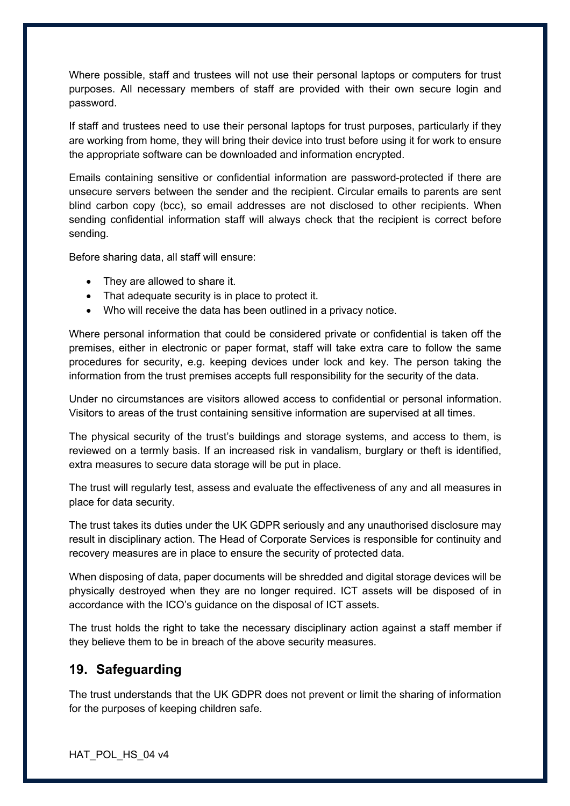Where possible, staff and trustees will not use their personal laptops or computers for trust purposes. All necessary members of staff are provided with their own secure login and password.

If staff and trustees need to use their personal laptops for trust purposes, particularly if they are working from home, they will bring their device into trust before using it for work to ensure the appropriate software can be downloaded and information encrypted.

Emails containing sensitive or confidential information are password-protected if there are unsecure servers between the sender and the recipient. Circular emails to parents are sent blind carbon copy (bcc), so email addresses are not disclosed to other recipients. When sending confidential information staff will always check that the recipient is correct before sending.

Before sharing data, all staff will ensure:

- They are allowed to share it.
- That adequate security is in place to protect it.
- Who will receive the data has been outlined in a privacy notice.

Where personal information that could be considered private or confidential is taken off the premises, either in electronic or paper format, staff will take extra care to follow the same procedures for security, e.g. keeping devices under lock and key. The person taking the information from the trust premises accepts full responsibility for the security of the data.

Under no circumstances are visitors allowed access to confidential or personal information. Visitors to areas of the trust containing sensitive information are supervised at all times.

The physical security of the trust's buildings and storage systems, and access to them, is reviewed on a termly basis. If an increased risk in vandalism, burglary or theft is identified, extra measures to secure data storage will be put in place.

The trust will regularly test, assess and evaluate the effectiveness of any and all measures in place for data security.

The trust takes its duties under the UK GDPR seriously and any unauthorised disclosure may result in disciplinary action. The Head of Corporate Services is responsible for continuity and recovery measures are in place to ensure the security of protected data.

When disposing of data, paper documents will be shredded and digital storage devices will be physically destroyed when they are no longer required. ICT assets will be disposed of in accordance with the ICO's guidance on the disposal of ICT assets.

The trust holds the right to take the necessary disciplinary action against a staff member if they believe them to be in breach of the above security measures.

#### **19. Safeguarding**

The trust understands that the UK GDPR does not prevent or limit the sharing of information for the purposes of keeping children safe.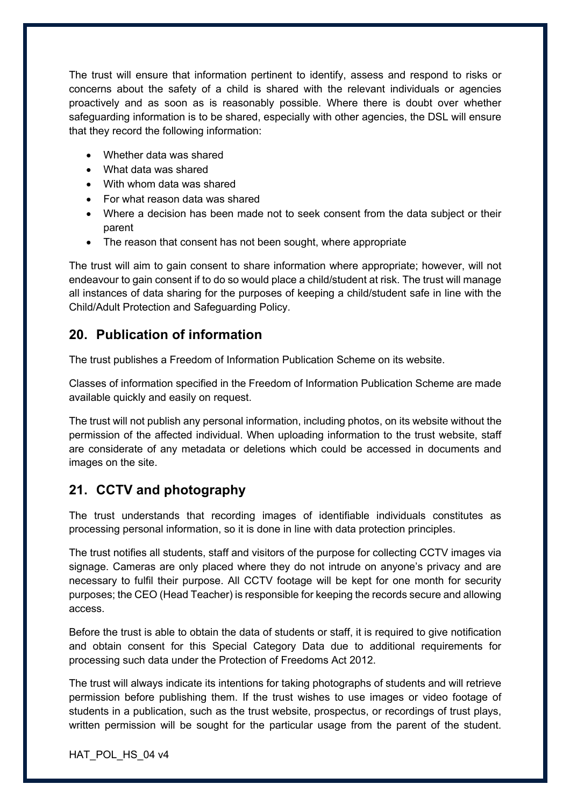The trust will ensure that information pertinent to identify, assess and respond to risks or concerns about the safety of a child is shared with the relevant individuals or agencies proactively and as soon as is reasonably possible. Where there is doubt over whether safeguarding information is to be shared, especially with other agencies, the DSL will ensure that they record the following information:

- Whether data was shared
- What data was shared
- With whom data was shared
- For what reason data was shared
- Where a decision has been made not to seek consent from the data subject or their parent
- The reason that consent has not been sought, where appropriate

The trust will aim to gain consent to share information where appropriate; however, will not endeavour to gain consent if to do so would place a child/student at risk. The trust will manage all instances of data sharing for the purposes of keeping a child/student safe in line with the Child/Adult Protection and Safeguarding Policy.

#### **20. Publication of information**

The trust publishes a Freedom of Information Publication Scheme on its website.

Classes of information specified in the Freedom of Information Publication Scheme are made available quickly and easily on request.

The trust will not publish any personal information, including photos, on its website without the permission of the affected individual. When uploading information to the trust website, staff are considerate of any metadata or deletions which could be accessed in documents and images on the site.

# **21. CCTV and photography**

The trust understands that recording images of identifiable individuals constitutes as processing personal information, so it is done in line with data protection principles.

The trust notifies all students, staff and visitors of the purpose for collecting CCTV images via signage. Cameras are only placed where they do not intrude on anyone's privacy and are necessary to fulfil their purpose. All CCTV footage will be kept for one month for security purposes; the CEO (Head Teacher) is responsible for keeping the records secure and allowing access.

Before the trust is able to obtain the data of students or staff, it is required to give notification and obtain consent for this Special Category Data due to additional requirements for processing such data under the Protection of Freedoms Act 2012.

The trust will always indicate its intentions for taking photographs of students and will retrieve permission before publishing them. If the trust wishes to use images or video footage of students in a publication, such as the trust website, prospectus, or recordings of trust plays, written permission will be sought for the particular usage from the parent of the student.